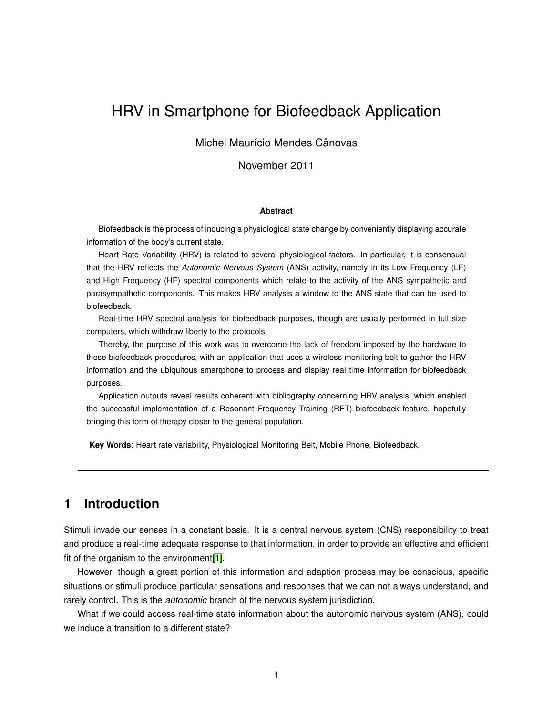# HRV in Smartphone for Biofeedback Application

#### Michel Maurício Mendes Cânovas

November 2011

#### **Abstract**

Biofeedback is the process of inducing a physiological state change by conveniently displaying accurate information of the body's current state.

Heart Rate Variability (HRV) is related to several physiological factors. In particular, it is consensual that the HRV reflects the *Autonomic Nervous System* (ANS) activity, namely in its Low Frequency (LF) and High Frequency (HF) spectral components which relate to the activity of the ANS sympathetic and parasympathetic components. This makes HRV analysis a window to the ANS state that can be used to biofeedback.

Real-time HRV spectral analysis for biofeedback purposes, though are usually performed in full size computers, which withdraw liberty to the protocols.

Thereby, the purpose of this work was to overcome the lack of freedom imposed by the hardware to these biofeedback procedures, with an application that uses a wireless monitoring belt to gather the HRV information and the ubiquitous smartphone to process and display real time information for biofeedback purposes.

Application outputs reveal results coherent with bibliography concerning HRV analysis, which enabled the successful implementation of a Resonant Frequency Training (RFT) biofeedback feature, hopefully bringing this form of therapy closer to the general population.

**Key Words**: Heart rate variability, Physiological Monitoring Belt, Mobile Phone, Biofeedback.

### **1 Introduction**

Stimuli invade our senses in a constant basis. It is a central nervous system (CNS) responsibility to treat and produce a real-time adequate response to that information, in order to provide an effective and efficient fit of the organism to the environment[\[1\]](#page-9-0).

However, though a great portion of this information and adaption process may be conscious, specific situations or stimuli produce particular sensations and responses that we can not always understand, and rarely control. This is the *autonomic* branch of the nervous system jurisdiction.

What if we could access real-time state information about the autonomic nervous system (ANS), could we induce a transition to a different state?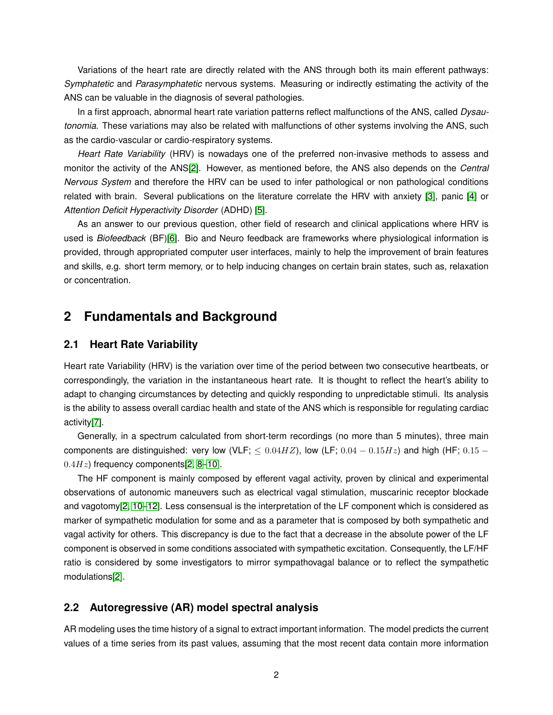Variations of the heart rate are directly related with the ANS through both its main efferent pathways: *Symphatetic* and *Parasymphatetic* nervous systems. Measuring or indirectly estimating the activity of the ANS can be valuable in the diagnosis of several pathologies.

In a first approach, abnormal heart rate variation patterns reflect malfunctions of the ANS, called *Dysautonomia*. These variations may also be related with malfunctions of other systems involving the ANS, such as the cardio-vascular or cardio-respiratory systems.

*Heart Rate Variability* (HRV) is nowadays one of the preferred non-invasive methods to assess and monitor the activity of the ANS[\[2\]](#page-9-1). However, as mentioned before, the ANS also depends on the *Central Nervous System* and therefore the HRV can be used to infer pathological or non pathological conditions related with brain. Several publications on the literature correlate the HRV with anxiety [\[3\]](#page-9-2), panic [\[4\]](#page-9-3) or *Attention Deficit Hyperactivity Disorder* (ADHD) [\[5\]](#page-9-4).

As an answer to our previous question, other field of research and clinical applications where HRV is used is *Biofeedback* (BF)[\[6\]](#page-9-5). Bio and Neuro feedback are frameworks where physiological information is provided, through appropriated computer user interfaces, mainly to help the improvement of brain features and skills, e.g. short term memory, or to help inducing changes on certain brain states, such as, relaxation or concentration.

## **2 Fundamentals and Background**

#### **2.1 Heart Rate Variability**

Heart rate Variability (HRV) is the variation over time of the period between two consecutive heartbeats, or correspondingly, the variation in the instantaneous heart rate. It is thought to reflect the heart's ability to adapt to changing circumstances by detecting and quickly responding to unpredictable stimuli. Its analysis is the ability to assess overall cardiac health and state of the ANS which is responsible for regulating cardiac activity[\[7\]](#page-9-6).

Generally, in a spectrum calculated from short-term recordings (no more than 5 minutes), three main components are distinguished: very low (VLF;  $\leq 0.04HZ$ ), low (LF;  $0.04 - 0.15Hz$ ) and high (HF;  $0.15 0.4Hz$ ) frequency components[\[2,](#page-9-1) 8-[10\]](#page-10-0).

The HF component is mainly composed by efferent vagal activity, proven by clinical and experimental observations of autonomic maneuvers such as electrical vagal stimulation, muscarinic receptor blockade and vagotomy[\[2,](#page-9-1) [10–](#page-10-0)[12\]](#page-10-1). Less consensual is the interpretation of the LF component which is considered as marker of sympathetic modulation for some and as a parameter that is composed by both sympathetic and vagal activity for others. This discrepancy is due to the fact that a decrease in the absolute power of the LF component is observed in some conditions associated with sympathetic excitation. Consequently, the LF/HF ratio is considered by some investigators to mirror sympathovagal balance or to reflect the sympathetic modulations[\[2\]](#page-9-1).

#### **2.2 Autoregressive (AR) model spectral analysis**

AR modeling uses the time history of a signal to extract important information. The model predicts the current values of a time series from its past values, assuming that the most recent data contain more information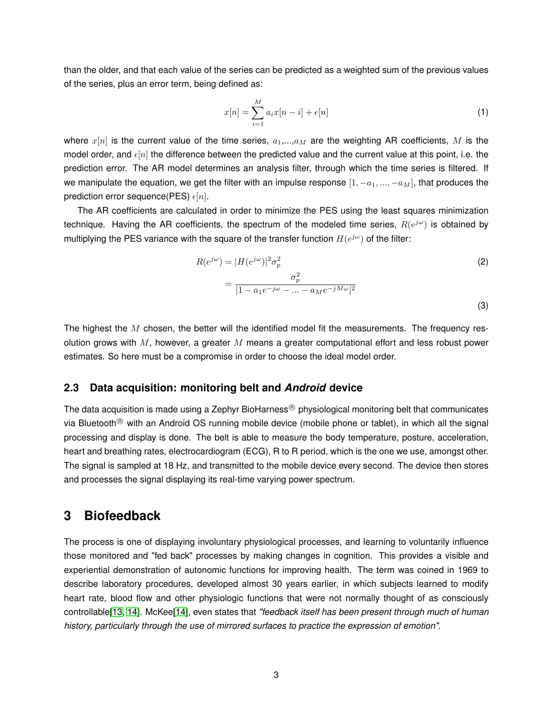than the older, and that each value of the series can be predicted as a weighted sum of the previous values of the series, plus an error term, being defined as:

$$
x[n] = \sum_{i=1}^{M} a_i x[n-i] + \epsilon[n] \tag{1}
$$

where  $x[n]$  is the current value of the time series,  $a_1,...,a_M$  are the weighting AR coefficients, M is the model order, and  $\epsilon[n]$  the difference between the predicted value and the current value at this point, i.e. the prediction error. The AR model determines an analysis filter, through which the time series is filtered. If we manipulate the equation, we get the filter with an impulse response  $[1, -a_1, ..., -a_M]$ , that produces the prediction error sequence(PES)  $\epsilon[n]$ .

The AR coefficients are calculated in order to minimize the PES using the least squares minimization technique. Having the AR coefficients, the spectrum of the modeled time series,  $R(e^{j\omega})$  is obtained by multiplying the PES variance with the square of the transfer function  $H(e^{j\omega})$  of the filter:

$$
R(e^{j\omega}) = |H(e^{j\omega})|^2 \sigma_p^2
$$
  
= 
$$
\frac{\sigma_p^2}{|1 - a_1 e^{-j\omega} - \dots - a_M e^{-jM\omega}|^2}
$$
 (2)

The highest the  $M$  chosen, the better will the identified model fit the measurements. The frequency resolution grows with  $M$ , however, a greater  $M$  means a greater computational effort and less robust power estimates. So here must be a compromise in order to choose the ideal model order.

#### **2.3 Data acquisition: monitoring belt and** *Android* **device**

The data acquisition is made using a Zephyr BioHarness<sup>®</sup> physiological monitoring belt that communicates via Bluetooth<sup>®</sup> with an Android OS running mobile device (mobile phone or tablet), in which all the signal processing and display is done. The belt is able to measure the body temperature, posture, acceleration, heart and breathing rates, electrocardiogram (ECG), R to R period, which is the one we use, amongst other. The signal is sampled at 18 Hz, and transmitted to the mobile device every second. The device then stores and processes the signal displaying its real-time varying power spectrum.

### **3 Biofeedback**

The process is one of displaying involuntary physiological processes, and learning to voluntarily influence those monitored and "fed back" processes by making changes in cognition. This provides a visible and experiential demonstration of autonomic functions for improving health. The term was coined in 1969 to describe laboratory procedures, developed almost 30 years earlier, in which subjects learned to modify heart rate, blood flow and other physiologic functions that were not normally thought of as consciously controllable[\[13,](#page-10-2) [14\]](#page-10-3). McKee[\[14\]](#page-10-3), even states that *"feedback itself has been present through much of human history, particularly through the use of mirrored surfaces to practice the expression of emotion"*.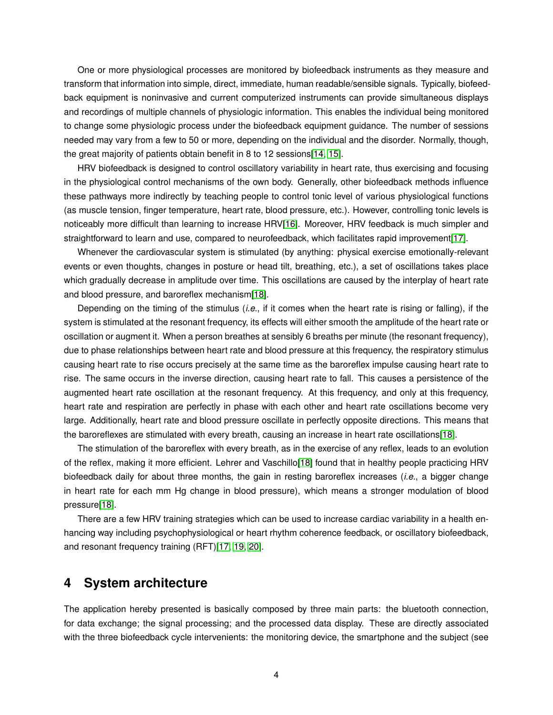One or more physiological processes are monitored by biofeedback instruments as they measure and transform that information into simple, direct, immediate, human readable/sensible signals. Typically, biofeedback equipment is noninvasive and current computerized instruments can provide simultaneous displays and recordings of multiple channels of physiologic information. This enables the individual being monitored to change some physiologic process under the biofeedback equipment guidance. The number of sessions needed may vary from a few to 50 or more, depending on the individual and the disorder. Normally, though, the great majority of patients obtain benefit in 8 to 12 sessions[\[14,](#page-10-3) [15\]](#page-10-4).

HRV biofeedback is designed to control oscillatory variability in heart rate, thus exercising and focusing in the physiological control mechanisms of the own body. Generally, other biofeedback methods influence these pathways more indirectly by teaching people to control tonic level of various physiological functions (as muscle tension, finger temperature, heart rate, blood pressure, etc.). However, controlling tonic levels is noticeably more difficult than learning to increase HRV[\[16\]](#page-10-5). Moreover, HRV feedback is much simpler and straightforward to learn and use, compared to neurofeedback, which facilitates rapid improvement[\[17\]](#page-10-6).

Whenever the cardiovascular system is stimulated (by anything: physical exercise emotionally-relevant events or even thoughts, changes in posture or head tilt, breathing, etc.), a set of oscillations takes place which gradually decrease in amplitude over time. This oscillations are caused by the interplay of heart rate and blood pressure, and baroreflex mechanism[\[18\]](#page-10-7).

Depending on the timing of the stimulus (*i.e.*, if it comes when the heart rate is rising or falling), if the system is stimulated at the resonant frequency, its effects will either smooth the amplitude of the heart rate or oscillation or augment it. When a person breathes at sensibly 6 breaths per minute (the resonant frequency), due to phase relationships between heart rate and blood pressure at this frequency, the respiratory stimulus causing heart rate to rise occurs precisely at the same time as the baroreflex impulse causing heart rate to rise. The same occurs in the inverse direction, causing heart rate to fall. This causes a persistence of the augmented heart rate oscillation at the resonant frequency. At this frequency, and only at this frequency, heart rate and respiration are perfectly in phase with each other and heart rate oscillations become very large. Additionally, heart rate and blood pressure oscillate in perfectly opposite directions. This means that the baroreflexes are stimulated with every breath, causing an increase in heart rate oscillations[\[18\]](#page-10-7).

The stimulation of the baroreflex with every breath, as in the exercise of any reflex, leads to an evolution of the reflex, making it more efficient. Lehrer and Vaschillo[\[18\]](#page-10-7) found that in healthy people practicing HRV biofeedback daily for about three months, the gain in resting baroreflex increases (*i.e.*, a bigger change in heart rate for each mm Hg change in blood pressure), which means a stronger modulation of blood pressure[\[18\]](#page-10-7).

There are a few HRV training strategies which can be used to increase cardiac variability in a health enhancing way including psychophysiological or heart rhythm coherence feedback, or oscillatory biofeedback, and resonant frequency training (RFT)[\[17,](#page-10-6) [19,](#page-10-8) [20\]](#page-10-9).

### **4 System architecture**

The application hereby presented is basically composed by three main parts: the bluetooth connection, for data exchange; the signal processing; and the processed data display. These are directly associated with the three biofeedback cycle intervenients: the monitoring device, the smartphone and the subject (see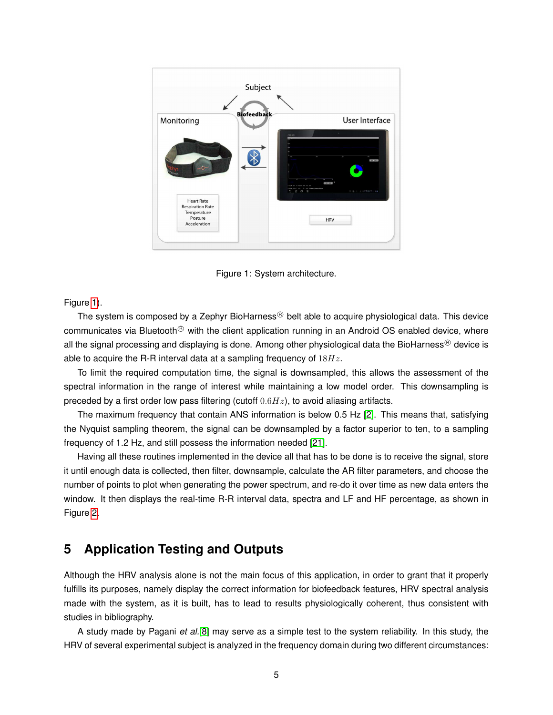

<span id="page-4-0"></span>Figure 1: System architecture.

Figure [1\)](#page-4-0).

The system is composed by a Zephyr BioHarness $\mathcal{B}$  belt able to acquire physiological data. This device communicates via Bluetooth<sup>®</sup> with the client application running in an Android OS enabled device, where all the signal processing and displaying is done. Among other physiological data the BioHarness® device is able to acquire the R-R interval data at a sampling frequency of  $18Hz$ .

To limit the required computation time, the signal is downsampled, this allows the assessment of the spectral information in the range of interest while maintaining a low model order. This downsampling is preceded by a first order low pass filtering (cutoff  $0.6Hz$ ), to avoid aliasing artifacts.

The maximum frequency that contain ANS information is below 0.5 Hz [\[2\]](#page-9-1). This means that, satisfying the Nyquist sampling theorem, the signal can be downsampled by a factor superior to ten, to a sampling frequency of 1.2 Hz, and still possess the information needed [\[21\]](#page-10-10).

Having all these routines implemented in the device all that has to be done is to receive the signal, store it until enough data is collected, then filter, downsample, calculate the AR filter parameters, and choose the number of points to plot when generating the power spectrum, and re-do it over time as new data enters the window. It then displays the real-time R-R interval data, spectra and LF and HF percentage, as shown in Figure [2.](#page-5-0)

## **5 Application Testing and Outputs**

Although the HRV analysis alone is not the main focus of this application, in order to grant that it properly fulfills its purposes, namely display the correct information for biofeedback features, HRV spectral analysis made with the system, as it is built, has to lead to results physiologically coherent, thus consistent with studies in bibliography.

A study made by Pagani *et al.*[\[8\]](#page-9-7) may serve as a simple test to the system reliability. In this study, the HRV of several experimental subject is analyzed in the frequency domain during two different circumstances: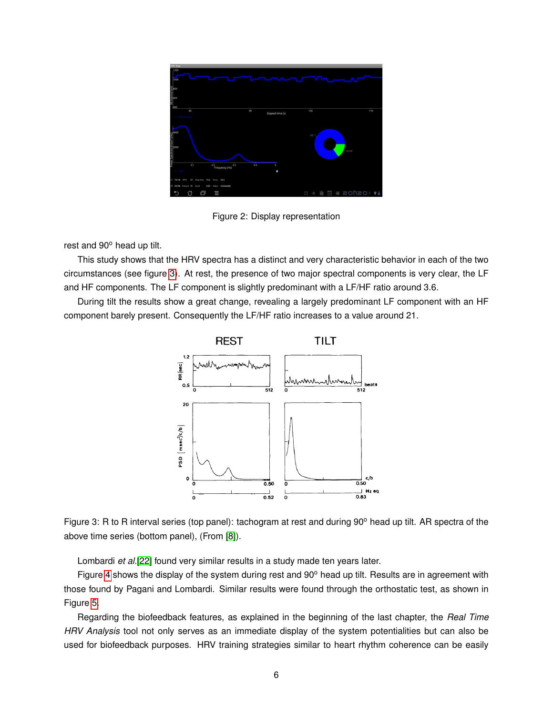| <b>HRV App</b>                                                        |                        |                           |     |
|-----------------------------------------------------------------------|------------------------|---------------------------|-----|
| 1200                                                                  |                        |                           |     |
| 1000                                                                  |                        |                           |     |
| RR-Interval (ms)<br>ခြို့ မြန်မာရေး                                   |                        |                           |     |
| 400                                                                   |                        |                           |     |
| 80                                                                    | 90<br>Elapsed time (s) | 100                       | 110 |
|                                                                       |                        |                           |     |
|                                                                       |                        | HF                        |     |
| Power Spectrum (msec^2/Hz)<br> <br> <br>  Spectrum (msec^2/Hz)<br>  S |                        | LF/HF                     |     |
| 0.2<br>Frequency (Hz)<br>0.3<br>0.1                                   | 0.4<br>$\alpha$<br>n   |                           |     |
| Тепр 349<br>57 Resp Rate 19.2<br>LF 79.1%<br><b>BPM</b>               |                        |                           |     |
| HF 20,9% Posture 91 Accel<br>Status Connected!<br>0.05                |                        |                           |     |
| 曰<br>≣<br>11                                                          |                        | <b>E + B B 20h20</b> + V1 |     |

<span id="page-5-0"></span>Figure 2: Display representation

rest and 90° head up tilt.

This study shows that the HRV spectra has a distinct and very characteristic behavior in each of the two circumstances (see figure [3\)](#page-5-1). At rest, the presence of two major spectral components is very clear, the LF and HF components. The LF component is slightly predominant with a LF/HF ratio around 3.6.

During tilt the results show a great change, revealing a largely predominant LF component with an HF component barely present. Consequently the LF/HF ratio increases to a value around 21.



<span id="page-5-1"></span>Figure 3: R to R interval series (top panel): tachogram at rest and during 90° head up tilt. AR spectra of the above time series (bottom panel), (From [\[8\]](#page-9-7)).

Lombardi *et al.*[\[22\]](#page-10-11) found very similar results in a study made ten years later.

Figure [4](#page-6-0) shows the display of the system during rest and  $90^\circ$  head up tilt. Results are in agreement with those found by Pagani and Lombardi. Similar results were found through the orthostatic test, as shown in Figure [5.](#page-6-1)

Regarding the biofeedback features, as explained in the beginning of the last chapter, the *Real Time HRV Analysis* tool not only serves as an immediate display of the system potentialities but can also be used for biofeedback purposes. HRV training strategies similar to heart rhythm coherence can be easily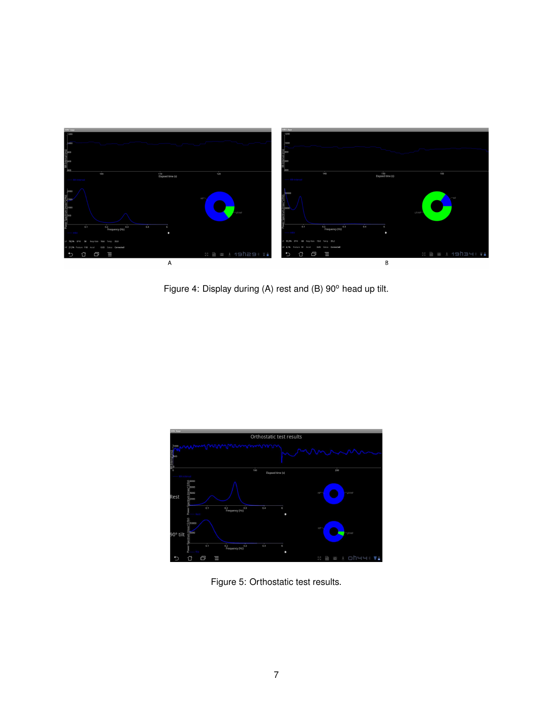

Figure 4: Display during (A) rest and (B) 90° head up tilt.

<span id="page-6-0"></span>

<span id="page-6-1"></span>Figure 5: Orthostatic test results.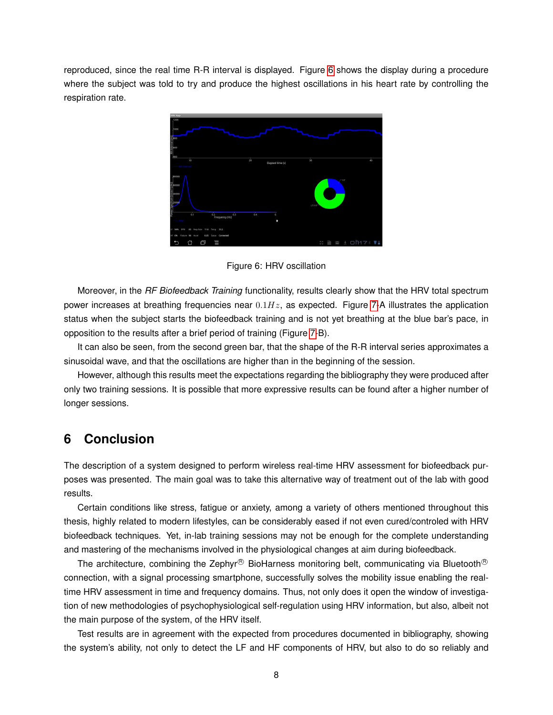reproduced, since the real time R-R interval is displayed. Figure [6](#page-7-0) shows the display during a procedure where the subject was told to try and produce the highest oscillations in his heart rate by controlling the respiration rate.



<span id="page-7-0"></span>Figure 6: HRV oscillation

Moreover, in the *RF Biofeedback Training* functionality, results clearly show that the HRV total spectrum power increases at breathing frequencies near  $0.1Hz$ , as expected. Figure [7-](#page-8-0)A illustrates the application status when the subject starts the biofeedback training and is not yet breathing at the blue bar's pace, in opposition to the results after a brief period of training (Figure [7-](#page-8-0)B).

It can also be seen, from the second green bar, that the shape of the R-R interval series approximates a sinusoidal wave, and that the oscillations are higher than in the beginning of the session.

However, although this results meet the expectations regarding the bibliography they were produced after only two training sessions. It is possible that more expressive results can be found after a higher number of longer sessions.

## **6 Conclusion**

The description of a system designed to perform wireless real-time HRV assessment for biofeedback purposes was presented. The main goal was to take this alternative way of treatment out of the lab with good results.

Certain conditions like stress, fatigue or anxiety, among a variety of others mentioned throughout this thesis, highly related to modern lifestyles, can be considerably eased if not even cured/controled with HRV biofeedback techniques. Yet, in-lab training sessions may not be enough for the complete understanding and mastering of the mechanisms involved in the physiological changes at aim during biofeedback.

The architecture, combining the Zephyr® BioHarness monitoring belt, communicating via Bluetooth® connection, with a signal processing smartphone, successfully solves the mobility issue enabling the realtime HRV assessment in time and frequency domains. Thus, not only does it open the window of investigation of new methodologies of psychophysiological self-regulation using HRV information, but also, albeit not the main purpose of the system, of the HRV itself.

Test results are in agreement with the expected from procedures documented in bibliography, showing the system's ability, not only to detect the LF and HF components of HRV, but also to do so reliably and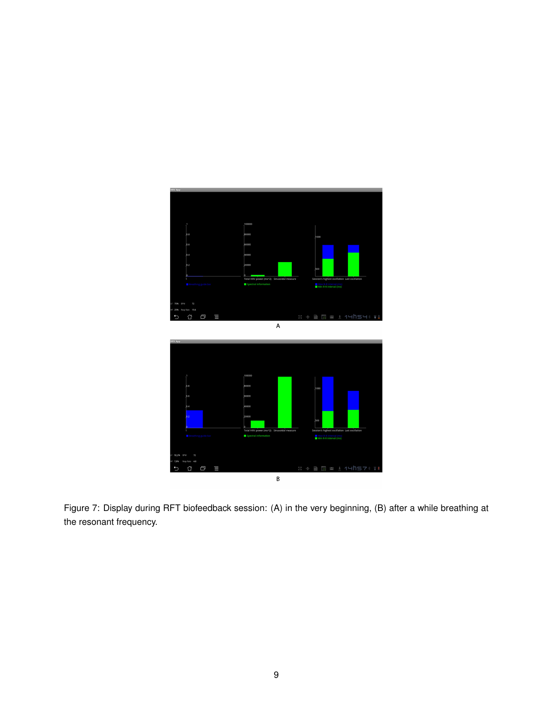

<span id="page-8-0"></span>Figure 7: Display during RFT biofeedback session: (A) in the very beginning, (B) after a while breathing at the resonant frequency.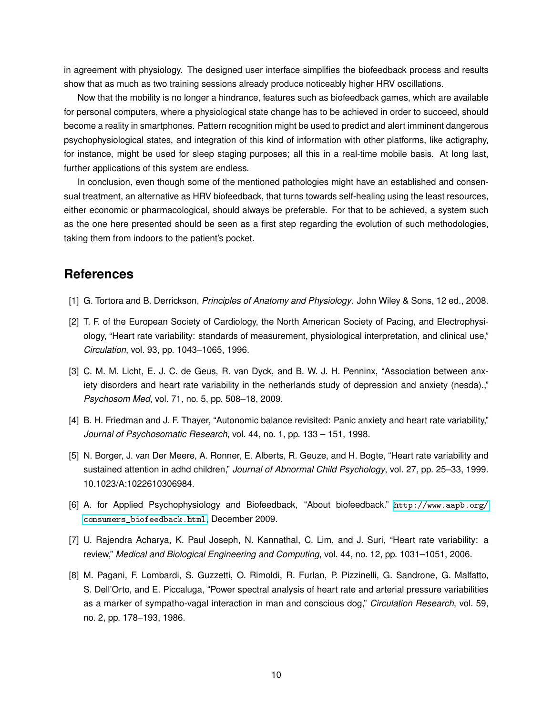in agreement with physiology. The designed user interface simplifies the biofeedback process and results show that as much as two training sessions already produce noticeably higher HRV oscillations.

Now that the mobility is no longer a hindrance, features such as biofeedback games, which are available for personal computers, where a physiological state change has to be achieved in order to succeed, should become a reality in smartphones. Pattern recognition might be used to predict and alert imminent dangerous psychophysiological states, and integration of this kind of information with other platforms, like actigraphy, for instance, might be used for sleep staging purposes; all this in a real-time mobile basis. At long last, further applications of this system are endless.

In conclusion, even though some of the mentioned pathologies might have an established and consensual treatment, an alternative as HRV biofeedback, that turns towards self-healing using the least resources, either economic or pharmacological, should always be preferable. For that to be achieved, a system such as the one here presented should be seen as a first step regarding the evolution of such methodologies, taking them from indoors to the patient's pocket.

### **References**

- <span id="page-9-0"></span>[1] G. Tortora and B. Derrickson, *Principles of Anatomy and Physiology*. John Wiley & Sons, 12 ed., 2008.
- <span id="page-9-1"></span>[2] T. F. of the European Society of Cardiology, the North American Society of Pacing, and Electrophysiology, "Heart rate variability: standards of measurement, physiological interpretation, and clinical use," *Circulation*, vol. 93, pp. 1043–1065, 1996.
- <span id="page-9-2"></span>[3] C. M. M. Licht, E. J. C. de Geus, R. van Dyck, and B. W. J. H. Penninx, "Association between anxiety disorders and heart rate variability in the netherlands study of depression and anxiety (nesda).," *Psychosom Med*, vol. 71, no. 5, pp. 508–18, 2009.
- <span id="page-9-3"></span>[4] B. H. Friedman and J. F. Thayer, "Autonomic balance revisited: Panic anxiety and heart rate variability," *Journal of Psychosomatic Research*, vol. 44, no. 1, pp. 133 – 151, 1998.
- <span id="page-9-4"></span>[5] N. Borger, J. van Der Meere, A. Ronner, E. Alberts, R. Geuze, and H. Bogte, "Heart rate variability and sustained attention in adhd children," *Journal of Abnormal Child Psychology*, vol. 27, pp. 25–33, 1999. 10.1023/A:1022610306984.
- <span id="page-9-5"></span>[6] A. for Applied Psychophysiology and Biofeedback, "About biofeedback." [http://www.aapb.org/](http://www.aapb.org/consumers_biofeedback.html) [consumers\\_biofeedback.html](http://www.aapb.org/consumers_biofeedback.html), December 2009.
- <span id="page-9-6"></span>[7] U. Rajendra Acharya, K. Paul Joseph, N. Kannathal, C. Lim, and J. Suri, "Heart rate variability: a review," *Medical and Biological Engineering and Computing*, vol. 44, no. 12, pp. 1031–1051, 2006.
- <span id="page-9-7"></span>[8] M. Pagani, F. Lombardi, S. Guzzetti, O. Rimoldi, R. Furlan, P. Pizzinelli, G. Sandrone, G. Malfatto, S. Dell'Orto, and E. Piccaluga, "Power spectral analysis of heart rate and arterial pressure variabilities as a marker of sympatho-vagal interaction in man and conscious dog," *Circulation Research*, vol. 59, no. 2, pp. 178–193, 1986.